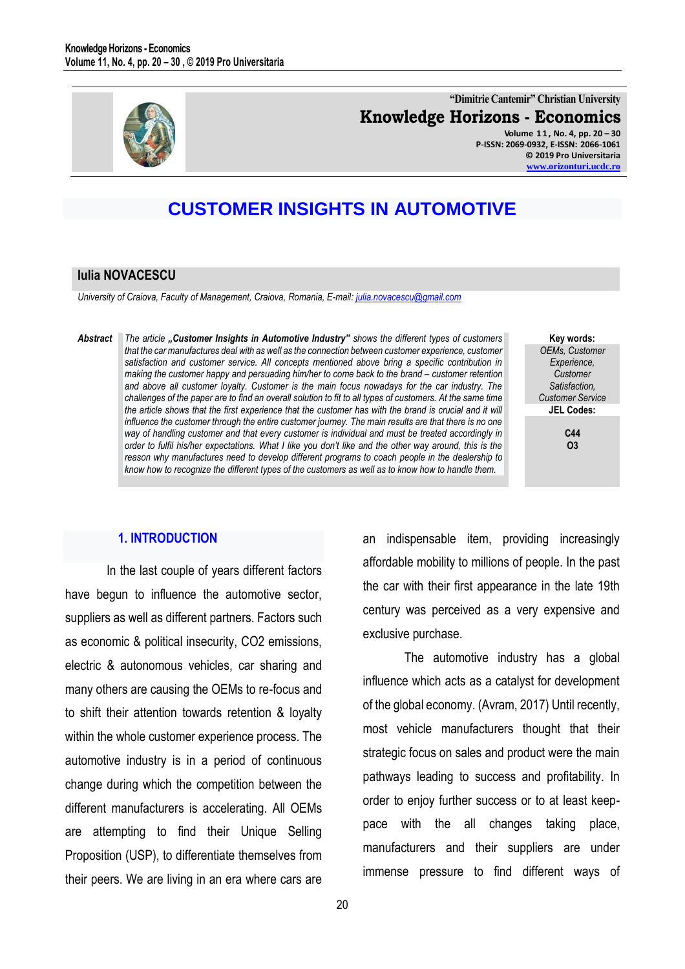

# **"Dimitrie Cantemir" Christian University Knowledge Horizons - Economics**

**Volume 1 1 , No. 4, pp. 20 – 30 P-ISSN: 2069-0932, E-ISSN: 2066-1061 © 2019 Pro Universitaria [www.orizonturi.ucdc.ro](http://www.orizonturi.ucdc.ro/)**

# **CUSTOMER INSIGHTS IN AUTOMOTIVE**

#### **Iulia NOVACESCU**

*University of Craiova, Faculty of Management, Craiova, Romania, E-mail: julia.novacescu@gmail.com* 

*Abstract The article "Customer Insights in Automotive Industry" shows the different types of customers that the car manufactures deal with as well as the connection between customer experience, customer satisfaction and customer service. All concepts mentioned above bring a specific contribution in making the customer happy and persuading him/her to come back to the brand – customer retention and above all customer loyalty. Customer is the main focus nowadays for the car industry. The challenges of the paper are to find an overall solution to fit to all types of customers. At the same time the article shows that the first experience that the customer has with the brand is crucial and it will influence the customer through the entire customer journey. The main results are that there is no one way of handling customer and that every customer is individual and must be treated accordingly in order to fulfil his/her expectations. What I like you don't like and the other way around, this is the reason why manufactures need to develop different programs to coach people in the dealership to know how to recognize the different types of the customers as well as to know how to handle them.*

**Key words:** *OEMs, Customer Experience, Customer Satisfaction, Customer Service* **JEL Codes:**

> **C44 O3**

# **1. INTRODUCTION**

In the last couple of years different factors have begun to influence the automotive sector, suppliers as well as different partners. Factors such as economic & political insecurity, CO2 emissions, electric & autonomous vehicles, car sharing and many others are causing the OEMs to re-focus and to shift their attention towards retention & loyalty within the whole customer experience process. The automotive industry is in a period of continuous change during which the competition between the different manufacturers is accelerating. All OEMs are attempting to find their Unique Selling Proposition (USP), to differentiate themselves from their peers. We are living in an era where cars are an indispensable item, providing increasingly affordable mobility to millions of people. In the past the car with their first appearance in the late 19th century was perceived as a very expensive and exclusive purchase.

The automotive industry has a global influence which acts as a catalyst for development of the global economy. (Avram, 2017) Until recently, most vehicle manufacturers thought that their strategic focus on sales and product were the main pathways leading to success and profitability. In order to enjoy further success or to at least keeppace with the all changes taking place, manufacturers and their suppliers are under immense pressure to find different ways of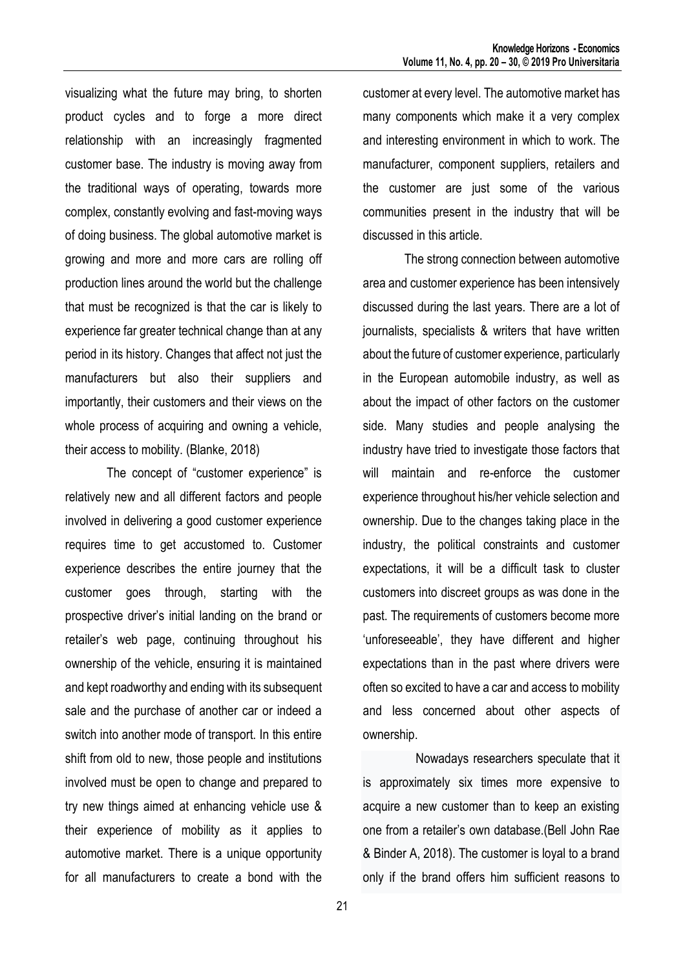visualizing what the future may bring, to shorten product cycles and to forge a more direct relationship with an increasingly fragmented customer base. The industry is moving away from the traditional ways of operating, towards more complex, constantly evolving and fast-moving ways of doing business. The global automotive market is growing and more and more cars are rolling off production lines around the world but the challenge that must be recognized is that the car is likely to experience far greater technical change than at any period in its history. Changes that affect not just the manufacturers but also their suppliers and importantly, their customers and their views on the whole process of acquiring and owning a vehicle, their access to mobility. (Blanke, 2018)

The concept of "customer experience" is relatively new and all different factors and people involved in delivering a good customer experience requires time to get accustomed to. Customer experience describes the entire journey that the customer goes through, starting with the prospective driver's initial landing on the brand or retailer's web page, continuing throughout his ownership of the vehicle, ensuring it is maintained and kept roadworthy and ending with its subsequent sale and the purchase of another car or indeed a switch into another mode of transport. In this entire shift from old to new, those people and institutions involved must be open to change and prepared to try new things aimed at enhancing vehicle use & their experience of mobility as it applies to automotive market. There is a unique opportunity for all manufacturers to create a bond with the customer at every level. The automotive market has many components which make it a very complex and interesting environment in which to work. The manufacturer, component suppliers, retailers and the customer are just some of the various communities present in the industry that will be discussed in this article.

The strong connection between automotive area and customer experience has been intensively discussed during the last years. There are a lot of journalists, specialists & writers that have written about the future of customer experience, particularly in the European automobile industry, as well as about the impact of other factors on the customer side. Many studies and people analysing the industry have tried to investigate those factors that will maintain and re-enforce the customer experience throughout his/her vehicle selection and ownership. Due to the changes taking place in the industry, the political constraints and customer expectations, it will be a difficult task to cluster customers into discreet groups as was done in the past. The requirements of customers become more 'unforeseeable', they have different and higher expectations than in the past where drivers were often so excited to have a car and access to mobility and less concerned about other aspects of ownership.

Nowadays researchers speculate that it is approximately six times more expensive to acquire a new customer than to keep an existing one from a retailer's own database.(Bell John Rae & Binder A, 2018). The customer is loyal to a brand only if the brand offers him sufficient reasons to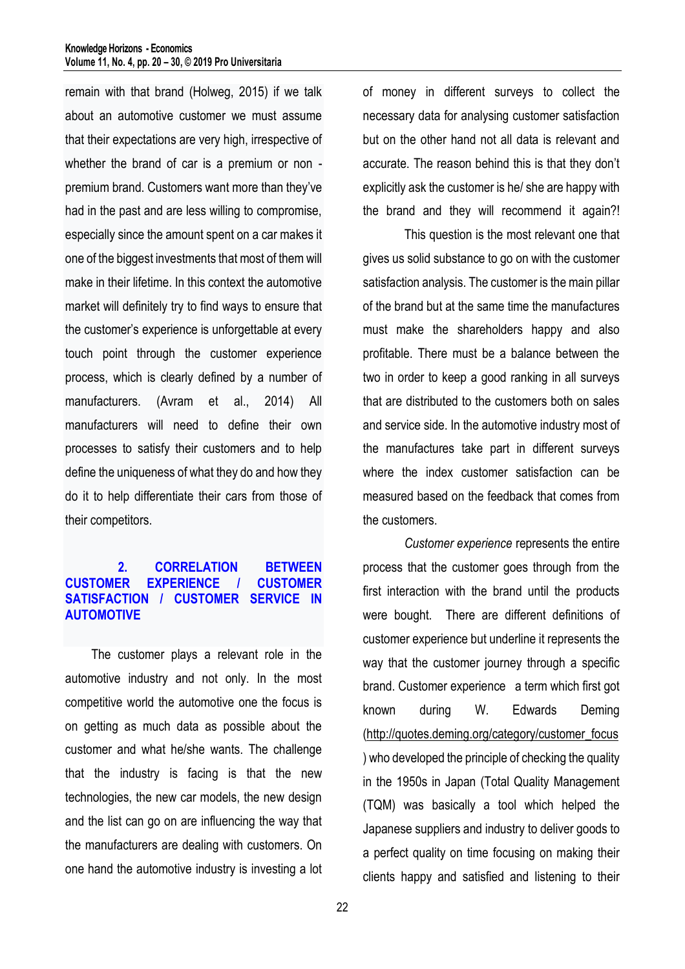remain with that brand (Holweg, 2015) if we talk about an automotive customer we must assume that their expectations are very high, irrespective of whether the brand of car is a premium or non premium brand. Customers want more than they've had in the past and are less willing to compromise, especially since the amount spent on a car makes it one of the biggest investments that most of them will make in their lifetime. In this context the automotive market will definitely try to find ways to ensure that the customer's experience is unforgettable at every touch point through the customer experience process, which is clearly defined by a number of manufacturers. (Avram et al., 2014) All manufacturers will need to define their own processes to satisfy their customers and to help define the uniqueness of what they do and how they do it to help differentiate their cars from those of their competitors.

#### **2. CORRELATION BETWEEN CUSTOMER EXPERIENCE / CUSTOMER SATISFACTION / CUSTOMER SERVICE IN AUTOMOTIVE**

The customer plays a relevant role in the automotive industry and not only. In the most competitive world the automotive one the focus is on getting as much data as possible about the customer and what he/she wants. The challenge that the industry is facing is that the new technologies, the new car models, the new design and the list can go on are influencing the way that the manufacturers are dealing with customers. On one hand the automotive industry is investing a lot of money in different surveys to collect the necessary data for analysing customer satisfaction but on the other hand not all data is relevant and accurate. The reason behind this is that they don't explicitly ask the customer is he/ she are happy with the brand and they will recommend it again?!

This question is the most relevant one that gives us solid substance to go on with the customer satisfaction analysis. The customer is the main pillar of the brand but at the same time the manufactures must make the shareholders happy and also profitable. There must be a balance between the two in order to keep a good ranking in all surveys that are distributed to the customers both on sales and service side. In the automotive industry most of the manufactures take part in different surveys where the index customer satisfaction can be measured based on the feedback that comes from the customers.

*Customer experience* represents the entire process that the customer goes through from the first interaction with the brand until the products were bought. There are different definitions of customer experience but underline it represents the way that the customer journey through a specific brand. Customer experience a term which first got known during W. Edwards Deming [\(http://quotes.deming.org/category/customer\\_focus](http://quotes.deming.org/category/customer_focus) ) who developed the principle of checking the quality in the 1950s in Japan (Total Quality Management (TQM) was basically a tool which helped the Japanese suppliers and industry to deliver goods to a perfect quality on time focusing on making their clients happy and satisfied and listening to their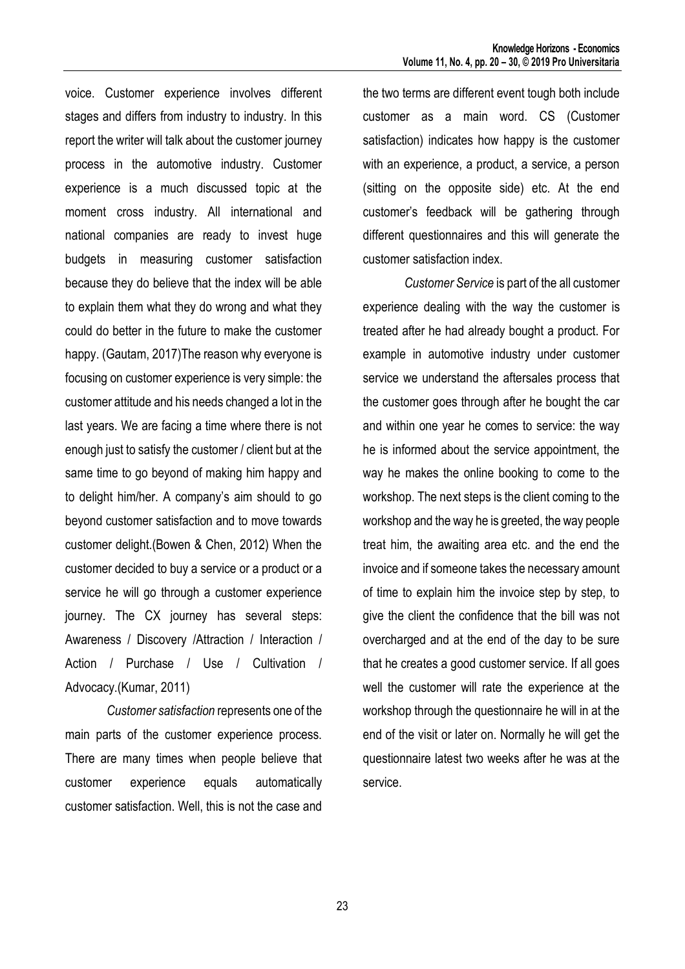voice. Customer experience involves different stages and differs from industry to industry. In this report the writer will talk about the customer journey process in the automotive industry. Customer experience is a much discussed topic at the moment cross industry. All international and national companies are ready to invest huge budgets in measuring customer satisfaction because they do believe that the index will be able to explain them what they do wrong and what they could do better in the future to make the customer happy. (Gautam, 2017)The reason why everyone is focusing on customer experience is very simple: the customer attitude and his needs changed a lot in the last years. We are facing a time where there is not enough just to satisfy the customer / client but at the same time to go beyond of making him happy and to delight him/her. A company's aim should to go beyond customer satisfaction and to move towards customer delight.(Bowen & Chen, 2012) When the customer decided to buy a service or a product or a service he will go through a customer experience journey. The CX journey has several steps: Awareness / Discovery /Attraction / Interaction / Action / Purchase / Use / Cultivation / Advocacy.(Kumar, 2011)

*Customer satisfaction* represents one of the main parts of the customer experience process. There are many times when people believe that customer experience equals automatically customer satisfaction. Well, this is not the case and

the two terms are different event tough both include customer as a main word. CS (Customer satisfaction) indicates how happy is the customer with an experience, a product, a service, a person (sitting on the opposite side) etc. At the end customer's feedback will be gathering through different questionnaires and this will generate the customer satisfaction index.

*Customer Service* is part of the all customer experience dealing with the way the customer is treated after he had already bought a product. For example in automotive industry under customer service we understand the aftersales process that the customer goes through after he bought the car and within one year he comes to service: the way he is informed about the service appointment, the way he makes the online booking to come to the workshop. The next steps is the client coming to the workshop and the way he is greeted, the way people treat him, the awaiting area etc. and the end the invoice and if someone takes the necessary amount of time to explain him the invoice step by step, to give the client the confidence that the bill was not overcharged and at the end of the day to be sure that he creates a good customer service. If all goes well the customer will rate the experience at the workshop through the questionnaire he will in at the end of the visit or later on. Normally he will get the questionnaire latest two weeks after he was at the service.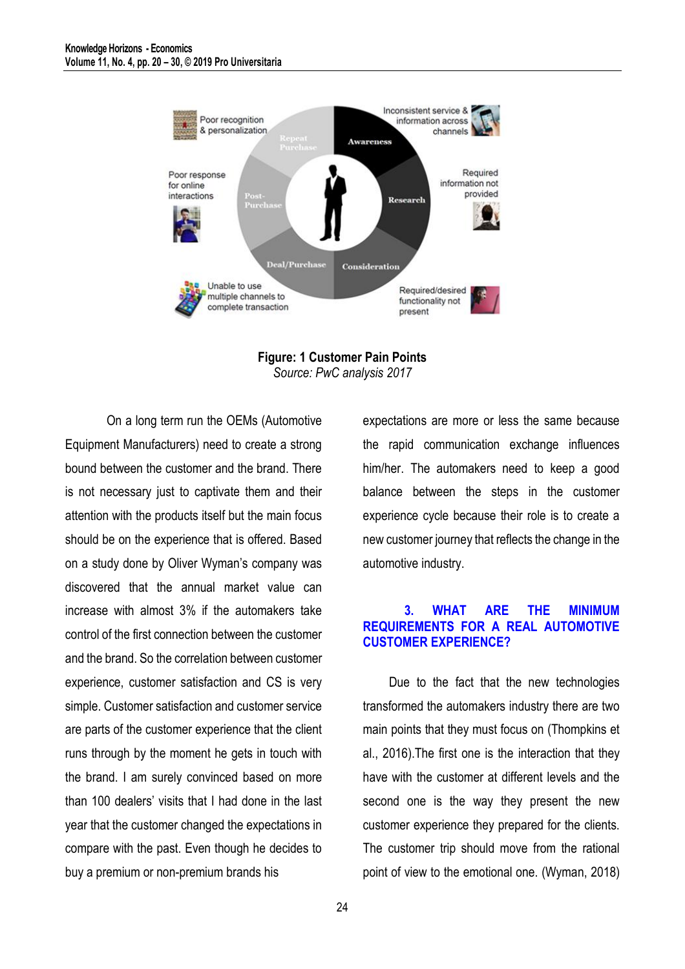



On a long term run the OEMs (Automotive Equipment Manufacturers) need to create a strong bound between the customer and the brand. There is not necessary just to captivate them and their attention with the products itself but the main focus should be on the experience that is offered. Based on a study done by Oliver Wyman's company was discovered that the annual market value can increase with almost 3% if the automakers take control of the first connection between the customer and the brand. So the correlation between customer experience, customer satisfaction and CS is very simple. Customer satisfaction and customer service are parts of the customer experience that the client runs through by the moment he gets in touch with the brand. I am surely convinced based on more than 100 dealers' visits that I had done in the last year that the customer changed the expectations in compare with the past. Even though he decides to buy a premium or non-premium brands his

expectations are more or less the same because the rapid communication exchange influences him/her. The automakers need to keep a good balance between the steps in the customer experience cycle because their role is to create a new customer journey that reflects the change in the automotive industry.

#### **3. WHAT ARE THE MINIMUM REQUIREMENTS FOR A REAL AUTOMOTIVE CUSTOMER EXPERIENCE?**

Due to the fact that the new technologies transformed the automakers industry there are two main points that they must focus on (Thompkins et al., 2016).The first one is the interaction that they have with the customer at different levels and the second one is the way they present the new customer experience they prepared for the clients. The customer trip should move from the rational point of view to the emotional one. (Wyman, 2018)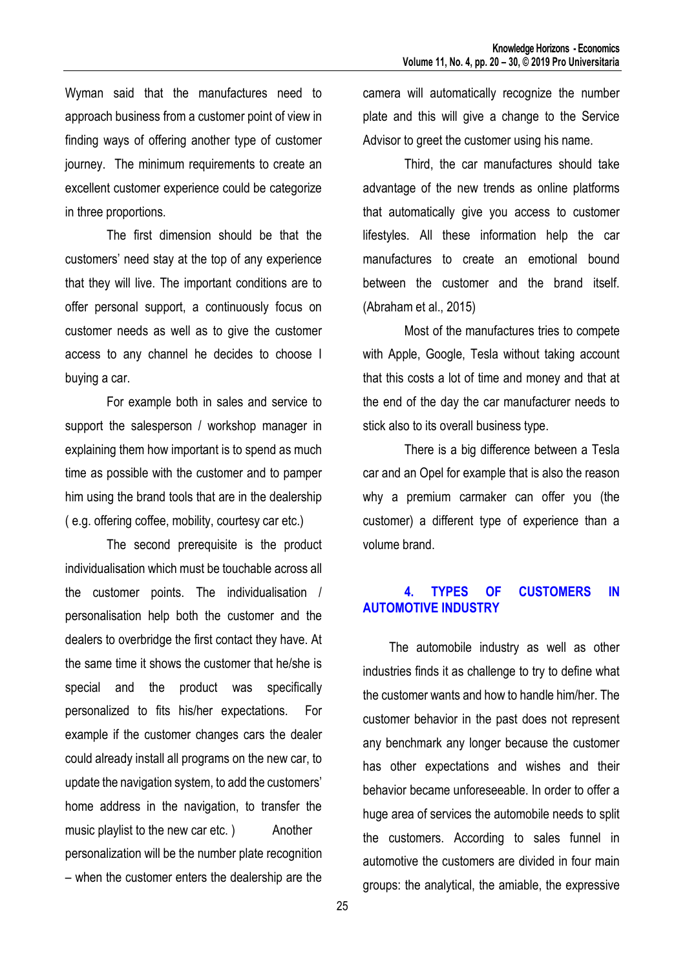Wyman said that the manufactures need to approach business from a customer point of view in finding ways of offering another type of customer journey. The minimum requirements to create an excellent customer experience could be categorize in three proportions.

The first dimension should be that the customers' need stay at the top of any experience that they will live. The important conditions are to offer personal support, a continuously focus on customer needs as well as to give the customer access to any channel he decides to choose I buying a car.

For example both in sales and service to support the salesperson / workshop manager in explaining them how important is to spend as much time as possible with the customer and to pamper him using the brand tools that are in the dealership ( e.g. offering coffee, mobility, courtesy car etc.)

The second prerequisite is the product individualisation which must be touchable across all the customer points. The individualisation / personalisation help both the customer and the dealers to overbridge the first contact they have. At the same time it shows the customer that he/she is special and the product was specifically personalized to fits his/her expectations. For example if the customer changes cars the dealer could already install all programs on the new car, to update the navigation system, to add the customers' home address in the navigation, to transfer the music playlist to the new car etc. ) Another personalization will be the number plate recognition – when the customer enters the dealership are the

camera will automatically recognize the number plate and this will give a change to the Service Advisor to greet the customer using his name.

Third, the car manufactures should take advantage of the new trends as online platforms that automatically give you access to customer lifestyles. All these information help the car manufactures to create an emotional bound between the customer and the brand itself. (Abraham et al., 2015)

Most of the manufactures tries to compete with Apple, Google, Tesla without taking account that this costs a lot of time and money and that at the end of the day the car manufacturer needs to stick also to its overall business type.

There is a big difference between a Tesla car and an Opel for example that is also the reason why a premium carmaker can offer you (the customer) a different type of experience than a volume brand.

## **4. TYPES OF CUSTOMERS IN AUTOMOTIVE INDUSTRY**

The automobile industry as well as other industries finds it as challenge to try to define what the customer wants and how to handle him/her. The customer behavior in the past does not represent any benchmark any longer because the customer has other expectations and wishes and their behavior became unforeseeable. In order to offer a huge area of services the automobile needs to split the customers. According to sales funnel in automotive the customers are divided in four main groups: the analytical, the amiable, the expressive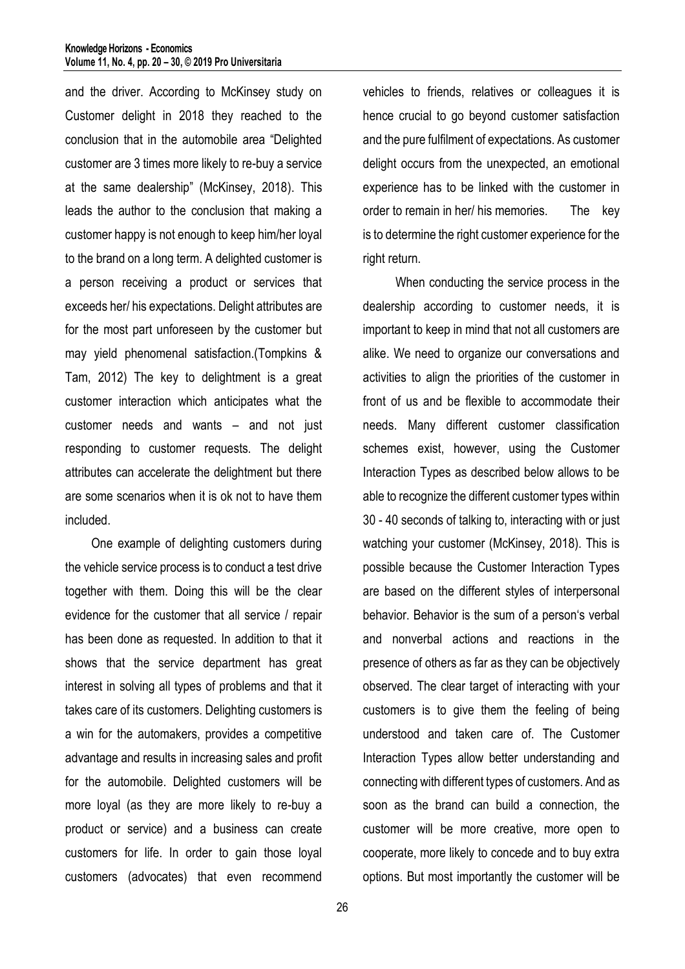and the driver. According to McKinsey study on Customer delight in 2018 they reached to the conclusion that in the automobile area "Delighted customer are 3 times more likely to re-buy a service at the same dealership" (McKinsey, 2018). This leads the author to the conclusion that making a customer happy is not enough to keep him/her loyal to the brand on a long term. A delighted customer is a person receiving a product or services that exceeds her/ his expectations. Delight attributes are for the most part unforeseen by the customer but may yield phenomenal satisfaction.(Tompkins & Tam, 2012) The key to delightment is a great customer interaction which anticipates what the customer needs and wants – and not just responding to customer requests. The delight attributes can accelerate the delightment but there are some scenarios when it is ok not to have them included.

One example of delighting customers during the vehicle service process is to conduct a test drive together with them. Doing this will be the clear evidence for the customer that all service / repair has been done as requested. In addition to that it shows that the service department has great interest in solving all types of problems and that it takes care of its customers. Delighting customers is a win for the automakers, provides a competitive advantage and results in increasing sales and profit for the automobile. Delighted customers will be more loyal (as they are more likely to re-buy a product or service) and a business can create customers for life. In order to gain those loyal customers (advocates) that even recommend

vehicles to friends, relatives or colleagues it is hence crucial to go beyond customer satisfaction and the pure fulfilment of expectations. As customer delight occurs from the unexpected, an emotional experience has to be linked with the customer in order to remain in her/ his memories. The key is to determine the right customer experience for the right return.

When conducting the service process in the dealership according to customer needs, it is important to keep in mind that not all customers are alike. We need to organize our conversations and activities to align the priorities of the customer in front of us and be flexible to accommodate their needs. Many different customer classification schemes exist, however, using the Customer Interaction Types as described below allows to be able to recognize the different customer types within 30 - 40 seconds of talking to, interacting with or just watching your customer (McKinsey, 2018). This is possible because the Customer Interaction Types are based on the different styles of interpersonal behavior. Behavior is the sum of a person's verbal and nonverbal actions and reactions in the presence of others as far as they can be objectively observed. The clear target of interacting with your customers is to give them the feeling of being understood and taken care of. The Customer Interaction Types allow better understanding and connecting with different types of customers. And as soon as the brand can build a connection, the customer will be more creative, more open to cooperate, more likely to concede and to buy extra options. But most importantly the customer will be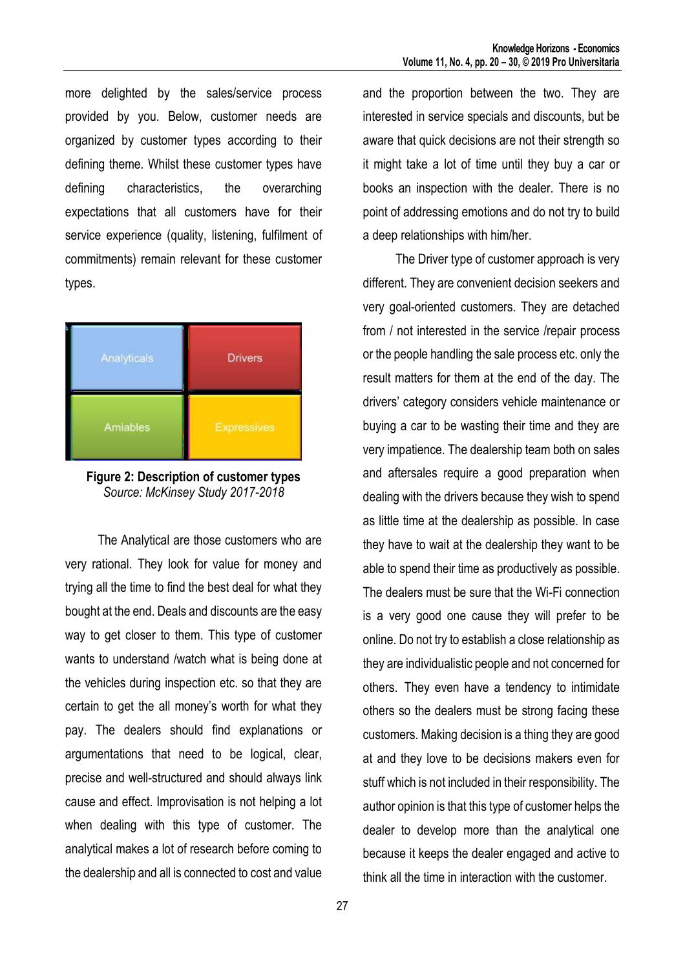more delighted by the sales/service process provided by you. Below, customer needs are organized by customer types according to their defining theme. Whilst these customer types have defining characteristics, the overarching expectations that all customers have for their service experience (quality, listening, fulfilment of commitments) remain relevant for these customer types.



**Figure 2: Description of customer types** *Source: McKinsey Study 2017-2018*

The Analytical are those customers who are very rational. They look for value for money and trying all the time to find the best deal for what they bought at the end. Deals and discounts are the easy way to get closer to them. This type of customer wants to understand /watch what is being done at the vehicles during inspection etc. so that they are certain to get the all money's worth for what they pay. The dealers should find explanations or argumentations that need to be logical, clear, precise and well-structured and should always link cause and effect. Improvisation is not helping a lot when dealing with this type of customer. The analytical makes a lot of research before coming to the dealership and all is connected to cost and value

and the proportion between the two. They are interested in service specials and discounts, but be aware that quick decisions are not their strength so it might take a lot of time until they buy a car or books an inspection with the dealer. There is no point of addressing emotions and do not try to build a deep relationships with him/her.

The Driver type of customer approach is very different. They are convenient decision seekers and very goal-oriented customers. They are detached from / not interested in the service /repair process or the people handling the sale process etc. only the result matters for them at the end of the day. The drivers' category considers vehicle maintenance or buying a car to be wasting their time and they are very impatience. The dealership team both on sales and aftersales require a good preparation when dealing with the drivers because they wish to spend as little time at the dealership as possible. In case they have to wait at the dealership they want to be able to spend their time as productively as possible. The dealers must be sure that the Wi-Fi connection is a very good one cause they will prefer to be online. Do not try to establish a close relationship as they are individualistic people and not concerned for others. They even have a tendency to intimidate others so the dealers must be strong facing these customers. Making decision is a thing they are good at and they love to be decisions makers even for stuff which is not included in their responsibility. The author opinion is that this type of customer helps the dealer to develop more than the analytical one because it keeps the dealer engaged and active to think all the time in interaction with the customer.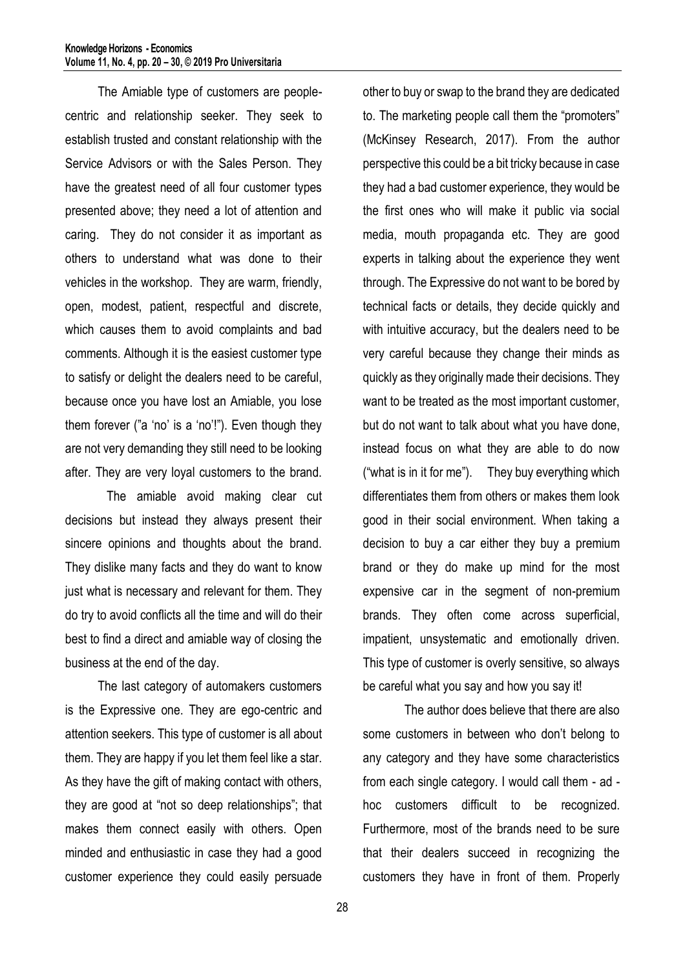The Amiable type of customers are peoplecentric and relationship seeker. They seek to establish trusted and constant relationship with the Service Advisors or with the Sales Person. They have the greatest need of all four customer types presented above; they need a lot of attention and caring. They do not consider it as important as others to understand what was done to their vehicles in the workshop. They are warm, friendly, open, modest, patient, respectful and discrete, which causes them to avoid complaints and bad comments. Although it is the easiest customer type to satisfy or delight the dealers need to be careful, because once you have lost an Amiable, you lose them forever ("a 'no' is a 'no'!"). Even though they are not very demanding they still need to be looking after. They are very loyal customers to the brand.

The amiable avoid making clear cut decisions but instead they always present their sincere opinions and thoughts about the brand. They dislike many facts and they do want to know just what is necessary and relevant for them. They do try to avoid conflicts all the time and will do their best to find a direct and amiable way of closing the business at the end of the day.

The last category of automakers customers is the Expressive one. They are ego-centric and attention seekers. This type of customer is all about them. They are happy if you let them feel like a star. As they have the gift of making contact with others, they are good at "not so deep relationships"; that makes them connect easily with others. Open minded and enthusiastic in case they had a good customer experience they could easily persuade

other to buy or swap to the brand they are dedicated to. The marketing people call them the "promoters" (McKinsey Research, 2017). From the author perspective this could be a bit tricky because in case they had a bad customer experience, they would be the first ones who will make it public via social media, mouth propaganda etc. They are good experts in talking about the experience they went through. The Expressive do not want to be bored by technical facts or details, they decide quickly and with intuitive accuracy, but the dealers need to be very careful because they change their minds as quickly as they originally made their decisions. They want to be treated as the most important customer, but do not want to talk about what you have done, instead focus on what they are able to do now ("what is in it for me"). They buy everything which differentiates them from others or makes them look good in their social environment. When taking a decision to buy a car either they buy a premium brand or they do make up mind for the most expensive car in the segment of non-premium brands. They often come across superficial, impatient, unsystematic and emotionally driven. This type of customer is overly sensitive, so always be careful what you say and how you say it!

The author does believe that there are also some customers in between who don't belong to any category and they have some characteristics from each single category. I would call them - ad hoc customers difficult to be recognized. Furthermore, most of the brands need to be sure that their dealers succeed in recognizing the customers they have in front of them. Properly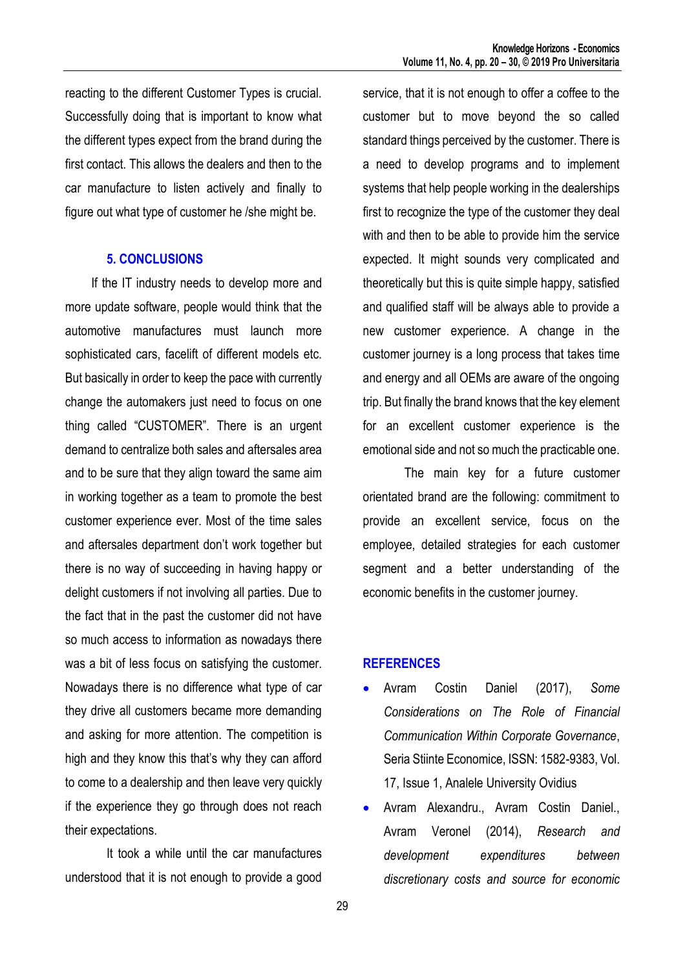reacting to the different Customer Types is crucial. Successfully doing that is important to know what the different types expect from the brand during the first contact. This allows the dealers and then to the car manufacture to listen actively and finally to figure out what type of customer he /she might be.

#### **5. CONCLUSIONS**

If the IT industry needs to develop more and more update software, people would think that the automotive manufactures must launch more sophisticated cars, facelift of different models etc. But basically in order to keep the pace with currently change the automakers just need to focus on one thing called "CUSTOMER". There is an urgent demand to centralize both sales and aftersales area and to be sure that they align toward the same aim in working together as a team to promote the best customer experience ever. Most of the time sales and aftersales department don't work together but there is no way of succeeding in having happy or delight customers if not involving all parties. Due to the fact that in the past the customer did not have so much access to information as nowadays there was a bit of less focus on satisfying the customer. Nowadays there is no difference what type of car they drive all customers became more demanding and asking for more attention. The competition is high and they know this that's why they can afford to come to a dealership and then leave very quickly if the experience they go through does not reach their expectations.

It took a while until the car manufactures understood that it is not enough to provide a good service, that it is not enough to offer a coffee to the customer but to move beyond the so called standard things perceived by the customer. There is a need to develop programs and to implement systems that help people working in the dealerships first to recognize the type of the customer they deal with and then to be able to provide him the service expected. It might sounds very complicated and theoretically but this is quite simple happy, satisfied and qualified staff will be always able to provide a new customer experience. A change in the customer journey is a long process that takes time and energy and all OEMs are aware of the ongoing trip. But finally the brand knows that the key element for an excellent customer experience is the emotional side and not so much the practicable one.

The main key for a future customer orientated brand are the following: commitment to provide an excellent service, focus on the employee, detailed strategies for each customer segment and a better understanding of the economic benefits in the customer journey.

### **REFERENCES**

- Avram Costin Daniel (2017), *Some Considerations on The Role of Financial Communication Within Corporate Governance*, Seria Stiinte Economice, ISSN: 1582-9383, Vol. 17, Issue 1, Analele University Ovidius
- Avram Alexandru., Avram Costin Daniel., Avram Veronel (2014), *Research and development expenditures between discretionary costs and source for economic*